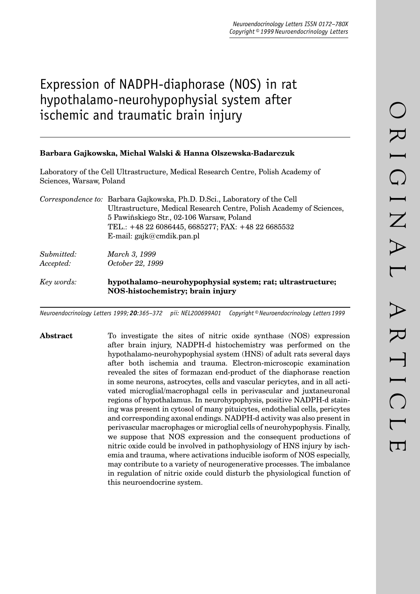# Expression of NADPH-diaphorase (NOS) in rat hypothalamo-neurohypophysial system after ischemic and traumatic brain injury

## **Barbara Gajkowska, Michal Walski & Hanna Olszewska-Badarczuk**

Laboratory of the Cell Ultrastructure, Medical Research Centre, Polish Academy of Sciences, Warsaw, Poland

|            | Correspondence to: Barbara Gajkowska, Ph.D. D.Sci., Laboratory of the Cell |
|------------|----------------------------------------------------------------------------|
|            | Ultrastructure, Medical Research Centre, Polish Academy of Sciences,       |
|            | 5 Pawiñskiego Str., 02-106 Warsaw, Poland                                  |
|            | TEL.: +48 22 6086445, 6685277; FAX: +48 22 6685532                         |
|            | E-mail: gajk@cmdik.pan.pl                                                  |
| Submitted: | March 3, 1999                                                              |
| Accepted:  | October 22, 1999                                                           |
| Key words: | hypothalamo-neurohypophysial system; rat; ultrastructure;                  |
|            | NOS-histochemistry; brain injury                                           |

*Neuroendocrinology Letters 1999; 20:365–372 pii: NEL200699A01 Copyright © Neuroendocrinology Letters 1999*

**Abstract** To investigate the sites of nitric oxide synthase (NOS) expression after brain injury, NADPH-d histochemistry was performed on the hypothalamo-neurohypophysial system (HNS) of adult rats several days after both ischemia and trauma. Electron-microscopic examination revealed the sites of formazan end-product of the diaphorase reaction in some neurons, astrocytes, cells and vascular pericytes, and in all activated microglial/macrophagal cells in perivascular and juxtaneuronal regions of hypothalamus. In neurohypophysis, positive NADPH-d staining was present in cytosol of many pituicytes, endothelial cells, pericytes and corresponding axonal endings. NADPH-d activity was also present in perivascular macrophages or microglial cells of neurohypophysis. Finally, we suppose that NOS expression and the consequent productions of nitric oxide could be involved in pathophysiology of HNS injury by ischemia and trauma, where activations inducible isoform of NOS especially, may contribute to a variety of neurogenerative processes. The imbalance in regulation of nitric oxide could disturb the physiological function of this neuroendocrine system.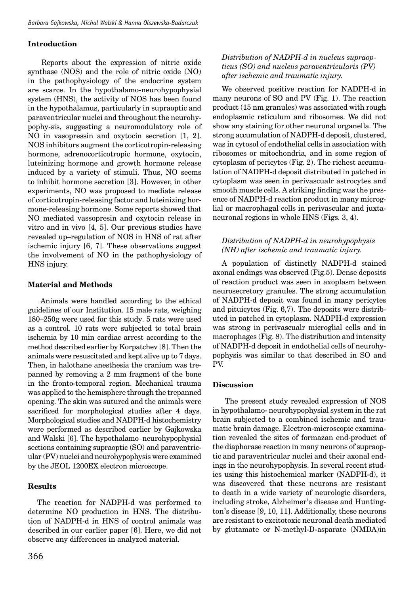#### **Introduction**

 Reports about the expression of nitric oxide synthase (NOS) and the role of nitric oxide (NO) in the pathophysiology of the endocrine system are scarce. In the hypothalamo-neurohypophysial system (HNS), the activity of NOS has been found in the hypothalamus, particularly in supraoptic and paraventricular nuclei and throughout the neurohypophy-sis, suggesting a neuromodulatory role of NO in vasopressin and oxytocin secretion [1, 2]. NOS inhibitors augment the corticotropin-releasing hormone, adrenocorticotropic hormone, oxytocin, luteinizing hormone and growth hormone release induced by a variety of stimuli. Thus, NO seems to inhibit hormone secretion [3]. However, in other experiments, NO was proposed to mediate release of corticotropin-releasing factor and luteinizing hormone-releasing hormone. Some reports showed that NO mediated vassopresin and oxytocin release in vitro and in vivo [4, 5]. Our previous studies have revealed up–regulation of NOS in HNS of rat after ischemic injury [6, 7]. These observations suggest the involvement of NO in the pathophysiology of HNS injury.

## **Material and Methods**

 Animals were handled according to the ethical guidelines of our Institution. 15 male rats, weighing 180–250g were used for this study. 5 rats were used as a control. 10 rats were subjected to total brain ischemia by 10 min cardiac arrest according to the method described earlier by Korpatchev [8]. Then the animals were resuscitated and kept alive up to 7 days. Then, in halothane anesthesia the cranium was trepanned by removing a 2 mm fragment of the bone in the fronto-temporal region. Mechanical trauma was applied to the hemisphere through the trepanned opening. The skin was sutured and the animals were sacrificed for morphological studies after 4 days. Morphological studies and NADPH-d histochemistry were performed as described earlier by Gajkowska and Walski [6]. The hypothalamo–neurohypophysial sections containing supraoptic (SO) and paraventricular (PV) nuclei and neurohypophysis were examined by the JEOL 1200EX electron microscope.

#### **Results**

The reaction for NADPH-d was performed to determine NO production in HNS. The distribution of NADPH-d in HNS of control animals was described in our earlier paper [6]. Here, we did not observe any differences in analyzed material.

## *Distribution of NADPH-d in nucleus supraopticus (SO) and nucleus paraventricularis (PV) after ischemic and traumatic injury.*

We observed positive reaction for NADPH-d in many neurons of SO and PV (Fig. 1). The reaction product (15 nm granules) was associated with rough endoplasmic reticulum and ribosomes. We did not show any staining for other neuronal organella. The strong accumulation of NADPH-d deposit, clustered, was in cytosol of endothelial cells in association with ribosomes or mitochondria, and in some region of cytoplasm of pericytes (Fig. 2). The richest accumulation of NADPH-d deposit distributed in patched in cytoplasm was seen in perivascualr astrocytes and smooth muscle cells. A striking finding was the presence of NADPH-d reaction product in many microglial or macrophagal cells in perivascular and juxtaneuronal regions in whole HNS (Figs. 3, 4).

## *Distribution of NADPH-d in neurohypophysis (NH) after ischemic and traumatic injury.*

A population of distinctly NADPH-d stained axonal endings was observed (Fig.5). Dense deposits of reaction product was seen in axoplasm between neurosecretory granules. The strong accumulation of NADPH-d deposit was found in many pericytes and pituicytes (Fig. 6,7). The deposits were distributed in patched in cytoplasm. NADPH-d expression was strong in perivascualr microglial cells and in macrophages (Fig. 8). The distribution and intensity of NADPH-d deposit in endothelial cells of neurohypophysis was similar to that described in SO and PV.

#### **Discussion**

 The present study revealed expression of NOS in hypothalamo- neurohypophysial system in the rat brain subjected to a combined ischemic and traumatic brain damage. Electron-microscopic examination revealed the sites of formazan end-product of the diaphorase reaction in many neurons of supraoptic and paraventricular nuclei and their axonal endings in the neurohypophysis. In several recent studies using this histochemical marker (NADPH-d), it was discovered that these neurons are resistant to death in a wide variety of neurologic disorders, including stroke, Alzheimer's disease and Huntington's disease [9, 10, 11]. Additionally, these neurons are resistant to excitotoxic neuronal death mediated by glutamate or N-methyl-D-asparate (NMDA)in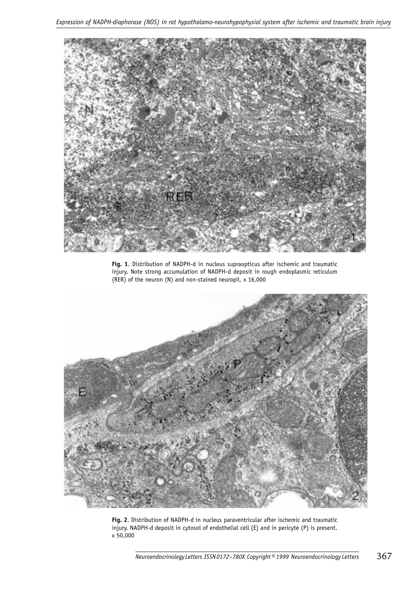

**Fig. 1**. Distribution of NADPH-d in nucleus supraopticus after ischemic and traumatic injury. Note strong accumulation of NADPH-d deposit in rough endoplasmic reticulum (RER) of the neuron (N) and non-stained neuropil. x 16,000



**Fig. 2**. Distribution of NADPH-d in nucleus paraventricular after ischemic and traumatic injury. NADPH-d deposit in cytosol of endothelial cell (E) and in pericyte (P) is present. x 50,000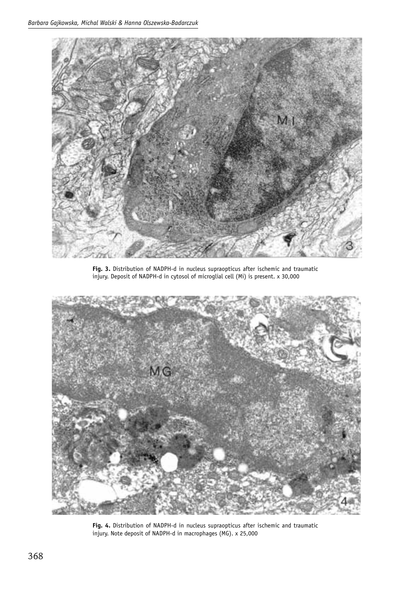

**Fig. 3.** Distribution of NADPH-d in nucleus supraopticus after ischemic and traumatic injury. Deposit of NADPH-d in cytosol of microglial cell (Mi) is present. x 30,000



**Fig. 4.** Distribution of NADPH-d in nucleus supraopticus after ischemic and traumatic injury. Note deposit of NADPH-d in macrophages (MG). x 25,000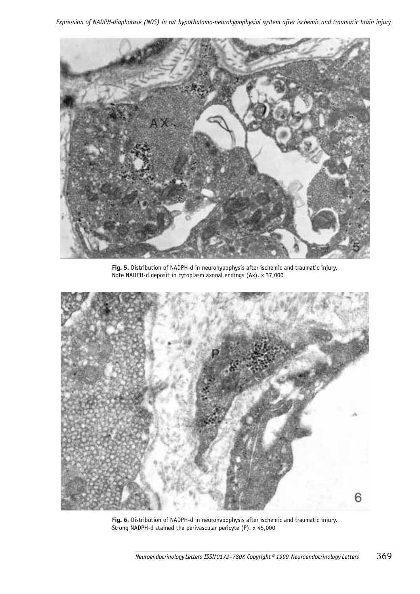

**Fig. 5.** Distribution of NADPH-d in neurohypophysis after ischemic and traumatic injury. Note NADPH-d deposit in cytoplasm axonal endings (Ax). x 37,000



**Fig. 6**. Distribution of NADPH-d in neurohypophysis after ischemic and traumatic injury. Strong NADPH-d stained the perivascular pericyte (P). x 45,000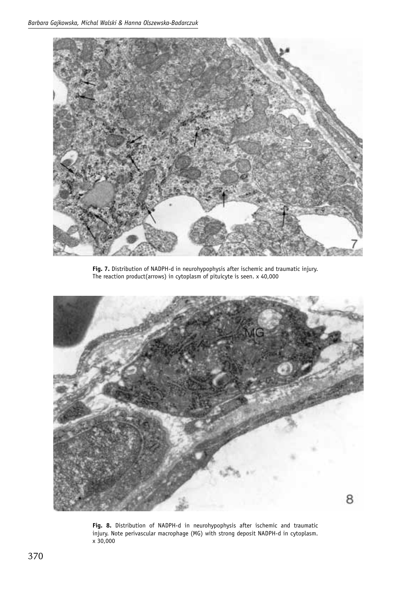

**Fig. 7.** Distribution of NADPH-d in neurohypophysis after ischemic and traumatic injury. The reaction product(arrows) in cytoplasm of pituicyte is seen. x 40,000



**Fig. 8.** Distribution of NADPH-d in neurohypophysis after ischemic and traumatic injury. Note perivascular macrophage (MG) with strong deposit NADPH-d in cytoplasm. x 30,000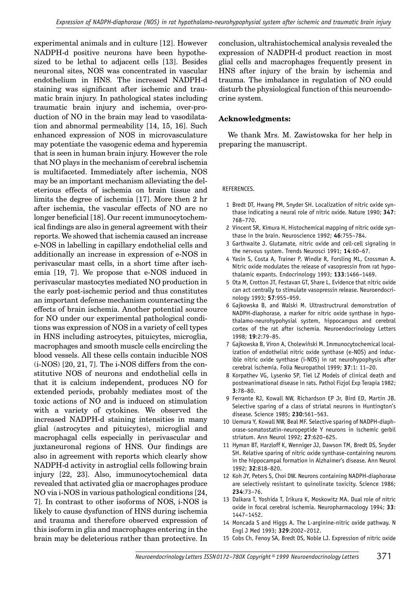experimental animals and in culture [12]. However NADPH-d positive neurons have been hypothesized to be lethal to adjacent cells [13]. Besides neuronal sites, NOS was concentrated in vascular endothelium in HNS. The increased NADPH-d staining was significant after ischemic and traumatic brain injury. In pathological states including traumatic brain injury and ischemia, over-production of NO in the brain may lead to vasodilatation and abnormal permeability [14, 15, 16]. Such enhanced expression of NOS in microvasculature may potentiate the vasogenic edema and hyperemia that is seen in human brain injury. However the role that NO plays in the mechanism of cerebral ischemia is multifaceted. Immediately after ischemia, NOS may be an important mechanism alleviating the deleterious effects of ischemia on brain tissue and limits the degree of ischemia [17]. More then 2 hr after ischemia, the vascular effects of NO are no longer beneficial [18]. Our recent immunocytochemical findings are also in general agreement with their reports. We showed that ischemia caused an increase e-NOS in labelling in capillary endothelial cells and additionally an increase in expression of e-NOS in perivascular mast cells, in a short time after ischemia [19, 7]. We propose that e-NOS induced in perivascular mastocytes mediated NO production in the early post-ischemic period and thus constitutes an important defense mechanism counteracting the effects of brain ischemia. Another potential source for NO under our experimental pathological conditions was expression of NOS in a variety of cell types in HNS including astrocytes, pituicytes, microglia, macrophages and smooth muscle cells encircling the blood vessels. All these cells contain inducible NOS (i-NOS) [20, 21, 7]. The i-NOS differs from the constitutive NOS of neurons and endothelial cells in that it is calcium independent, produces NO for extended periods, probably mediates most of the toxic actions of NO and is induced on stimulation with a variety of cytokines. We observed the increased NADPH-d staining intensities in many glial (astrocytes and pituicytes), microglial and macrophagal cells especially in perivascular and juxtaneuronal regions of HNS. Our findings are also in agreement with reports which clearly show NADPH-d activity in astroglial cells following brain injury [22, 23]. Also, immunocytochemical data revealed that activated glia or macrophages produce NO via i-NOS in various pathological conditions [24, 7]. In contrast to other isoforms of NOS, i-NOS is likely to cause dysfunction of HNS during ischemia and trauma and therefore observed expression of this isoform in glia and macrophages entering in the brain may be deleterious rather than protective. In

conclusion, ultrahistochemical analysis revealed the expression of NADPH-d product reaction in most glial cells and macrophages frequently present in HNS after injury of the brain by ischemia and trauma. The imbalance in regulation of NO could disturb the physiological function of this neuroendocrine system.

### **Acknowledgments:**

We thank Mrs. M. Zawistowska for her help in preparing the manuscript.

#### REFERENCES.

- 1 Bredt DT, Hwang PM, Snyder SH. Localization of nitric oxide synthase indicating a neural role of nitric oxide. Nature 1990; **347**: 768–770.
- 2 Vincent SR, Kimura H. Histochemical mapping of nitric oxide synthase in the brain. Neuroscience 1992; **46**:755–784.
- 3 Garthwaite J. Glutamate, nitric oxide and cell-cell signaling in the nervous system. Trends Neurosci 1991; **14**:60–67.
- 4 Yasin S, Costa A, Trainer P, Windle R, Forsling ML, Crossman A. Nitric oxide modulates the release of vasopressin from rat hypothalamic expants. Endocrinology 1993; **133**:1466–1469.
- 5 Ota M, Crotton JT, Festavan GT, Share L. Evidence that nitric oxide can act centrally to stimulate vasopressin release. Neuroendocrinology 1993; **57**:955–959.
- 6 Gajkowska B, and Walski M. Ultrastructrural demonstration of NADPH-diaphorase, a marker for nitric oxide synthase in hypothalamo-neurohypohysial system, hippocampus and cerebral cortex of the rat after ischemia. Neuroendocrinology Letters 1998; **19**:2:79–85.
- 7 Gajkowska B, Viron A, Cholewiñski M. Immunocytochemical localization of endothelial nitric oxide synthase (e-NOS) and inducible nitric oxide synthase (i-NOS) in rat neurohypophysis after cerebral ischemia. Folia Neuropathol 1999; **37**:1: 11–20.
- 8 Korpathev VG, Lysenko SP, Tiel LZ Models of clinical death and postreanimational disease in rats. Pathol Fizjol Exp Terapia 1982; **3**:78–80.
- 9 Ferrante RJ, Kowall NW, Richardson EP Jr, Bird ED, Martin JB. Selective sparing of a class of striatal neurons in Huntington's disease. Science 1985; **230**:561–563.
- 10 Uemura Y, Kowall NW, Beal MF. Selective sparing of NADPH-diaphorase-somatostatin-neuropeptide Y neurons in ischemic gerbil striatum. Ann Neurol 1992; **27**:620–625.
- 11 Hyman BT, Harzloff K, Wenniger JJ, Dawson TM, Bredt DS, Snyder SH. Relative sparing of nitric oxide synthase-containing neurons in the hippocampal formation in Alzhaimer's disease. Ann Neurol 1992; **32**:818–820.
- 12 Koh JY, Peters S, Choi DW. Neurons containing NADPH-diaphorase are selectively resistant to quinolinate toxicity. Science 1986; **234**:73–76.
- 13 Dalkara T, Yoshida T, Irikura K, Moskowitz MA. Dual role of nitric oxide in focal cerebral ischemia. Neuropharmacology 1994; **33**: 1447–1452.
- 14 Moncada S and Higgs A. The L-arginine-nitric oxide pathway. N Engl J Med 1993; **329**:2002–2012.
- 15 Cobs Ch, Fenoy SA, Bredt DS, Noble LJ. Expression of nitric oxide